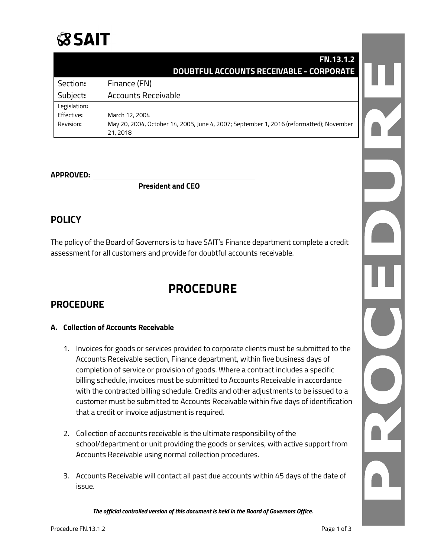

|              | <b>FN.13.1.2</b>                                                                        |  |
|--------------|-----------------------------------------------------------------------------------------|--|
|              | <b>DOUBTFUL ACCOUNTS RECEIVABLE - CORPORATE</b>                                         |  |
| Section:     | Finance (FN)                                                                            |  |
| Subject:     | <b>Accounts Receivable</b>                                                              |  |
| Legislation: |                                                                                         |  |
| Effective:   | March 12, 2004                                                                          |  |
| Revision:    | May 20, 2004, October 14, 2005, June 4, 2007; September 1, 2016 (reformatted); November |  |
|              | 21, 2018                                                                                |  |

#### **APPROVED:**

**President and CEO**

# **POLICY**

The policy of the Board of Governors is to have SAIT's Finance department complete a credit assessment for all customers and provide for doubtful accounts receivable.

# **PROCEDURE**

# **PROCEDURE**

#### **A. Collection of Accounts Receivable**

- 1. Invoices for goods or services provided to corporate clients must be submitted to the Accounts Receivable section, Finance department, within five business days of completion of service or provision of goods. Where a contract includes a specific billing schedule, invoices must be submitted to Accounts Receivable in accordance with the contracted billing schedule. Credits and other adjustments to be issued to a customer must be submitted to Accounts Receivable within five days of identification that a credit or invoice adjustment is required.
- 2. Collection of accounts receivable is the ultimate responsibility of the school/department or unit providing the goods or services, with active support from Accounts Receivable using normal collection procedures.
- 3. Accounts Receivable will contact all past due accounts within 45 days of the date of issue.

*The official controlled version of this document is held in the Board of Governors Office.*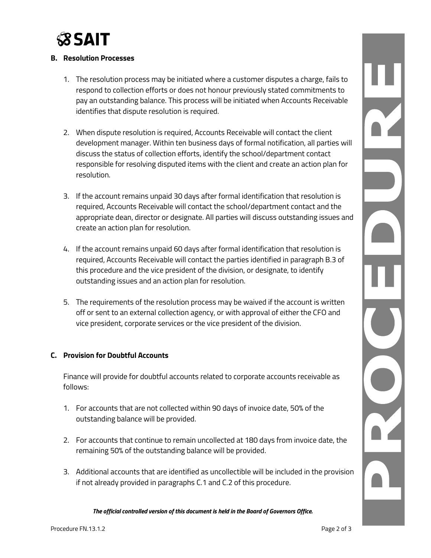

#### **B. Resolution Processes**

- 1. The resolution process may be initiated where a customer disputes a charge, fails to respond to collection efforts or does not honour previously stated commitments to pay an outstanding balance. This process will be initiated when Accounts Receivable identifies that dispute resolution is required.
- 2. When dispute resolution is required, Accounts Receivable will contact the client development manager. Within ten business days of formal notification, all parties will discuss the status of collection efforts, identify the school/department contact responsible for resolving disputed items with the client and create an action plan for resolution.
- 3. If the account remains unpaid 30 days after formal identification that resolution is required, Accounts Receivable will contact the school/department contact and the appropriate dean, director or designate. All parties will discuss outstanding issues and create an action plan for resolution.
- 4. If the account remains unpaid 60 days after formal identification that resolution is required, Accounts Receivable will contact the parties identified in paragraph B.3 of this procedure and the vice president of the division, or designate, to identify outstanding issues and an action plan for resolution.
- 5. The requirements of the resolution process may be waived if the account is written off or sent to an external collection agency, or with approval of either the CFO and vice president, corporate services or the vice president of the division.

#### **C. Provision for Doubtful Accounts**

Finance will provide for doubtful accounts related to corporate accounts receivable as follows:

- 1. For accounts that are not collected within 90 days of invoice date, 50% of the outstanding balance will be provided.
- 2. For accounts that continue to remain uncollected at 180 days from invoice date, the remaining 50% of the outstanding balance will be provided.
- 3. Additional accounts that are identified as uncollectible will be included in the provision if not already provided in paragraphs C.1 and C.2 of this procedure.

*The official controlled version of this document is held in the Board of Governors Office.*